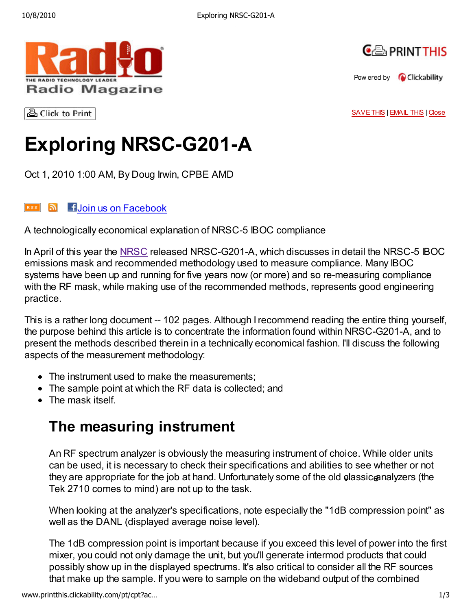



Pow ered by **Clickability** 

ਣੀ Click to Print

SAVE THIS | EMAIL THIS | Close

# Exploring NRSC-G201-A

Oct 1, 2010 1:00 AM, By Doug Irwin, CPBE AMD

### **RESE D H** Join us on Facebook

A technologically economical explanation of NRSC-5 IBOC compliance

In April of this year the NRSC released NRSC-G201-A, which discusses in detail the NRSC-5 IBOC emissions mask and recommended methodology used to measure compliance. Many IBOC systems have been up and running for five years now (or more) and so re-measuring compliance with the RF mask, while making use of the recommended methods, represents good engineering practice.

This is a rather long document -- 102 pages. Although I recommend reading the entire thing yourself, the purpose behind this article is to concentrate the information found within NRSC-G201-A, and to present the methods described therein in a technically economical fashion. I'll discuss the following aspects of the measurement methodology:

- The instrument used to make the measurements:
- The sample point at which the RF data is collected; and
- The mask itself.

## The measuring instrument

An RF spectrum analyzer is obviously the measuring instrument of choice. While older units can be used, it is necessary to check their specifications and abilities to see whether or not they are appropriate for the job at hand. Unfortunately some of the old plassic analyzers (the Tek 2710 comes to mind) are not up to the task.

When looking at the analyzer's specifications, note especially the "1dB compression point" as well as the DANL (displayed average noise level).

The 1dB compression point is important because if you exceed this level of power into the first mixer, you could not only damage the unit, but you'll generate intermod products that could possibly show up in the displayed spectrums. It's also critical to consider all the RF sources that make up the sample. If you were to sample on the wideband output of the combined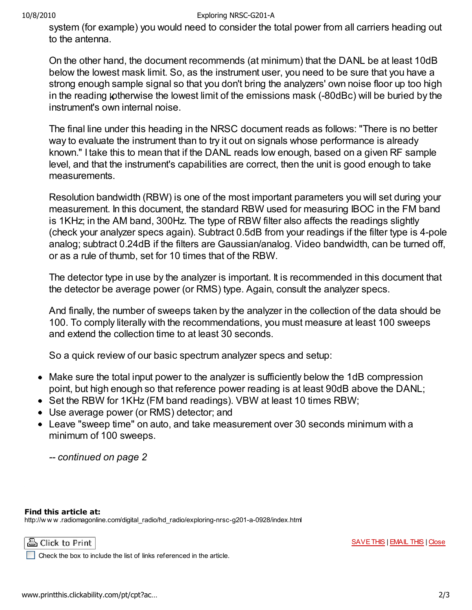### 10/8/2010 Exploring NRSC-G201-A

system (for example) you would need to consider the total power from all carriers heading out to the antenna.

On the other hand, the document recommends (at minimum) that the DANL be at least 10dB below the lowest mask limit. So, as the instrument user, you need to be sure that you have a strong enough sample signal so that you don't bring the analyzers' own noise floor up too high in the reading p therwise the lowest limit of the emissions mask (-80dBc) will be buried by the instrument's own internal noise.

The final line under this heading in the NRSC document reads as follows: "There is no better way to evaluate the instrument than to try it out on signals whose performance is already known." I take this to mean that if the DANL reads low enough, based on a given RF sample level, and that the instrument's capabilities are correct, then the unit is good enough to take measurements.

Resolution bandwidth (RBW) is one of the most important parameters you will set during your measurement. In this document, the standard RBW used for measuring IBOC in the FM band is 1KHz; in the AM band, 300Hz. The type of RBW filter also affects the readings slightly (check your analyzer specs again). Subtract 0.5dB from your readings if the filter type is 4-pole analog; subtract 0.24dB if the filters are Gaussian/analog. Video bandwidth, can be turned off, or as a rule of thumb, set for 10 times that of the RBW.

The detector type in use by the analyzer is important. It is recommended in this document that the detector be average power (or RMS) type. Again, consult the analyzer specs.

And finally, the number of sweeps taken by the analyzer in the collection of the data should be 100. To comply literally with the recommendations, you must measure at least 100 sweeps and extend the collection time to at least 30 seconds.

So a quick review of our basic spectrum analyzer specs and setup:

- Make sure the total input power to the analyzer is sufficiently below the 1dB compression point, but high enough so that reference power reading is at least 90dB above the DANL;
- Set the RBW for 1KHz (FM band readings). VBW at least 10 times RBW;
- Use average power (or RMS) detector; and
- Leave "sweep time" on auto, and take measurement over 30 seconds minimum with a minimum of 100 sweeps.

-- continued on page 2

### Find this article at:

http://w w w .radiomagonline.com/digital\_radio/hd\_radio/exploring-nrsc-g201-a-0928/index.html



Check the box to include the list of links referenced in the article.

SAVE THIS | EMAIL THIS | Close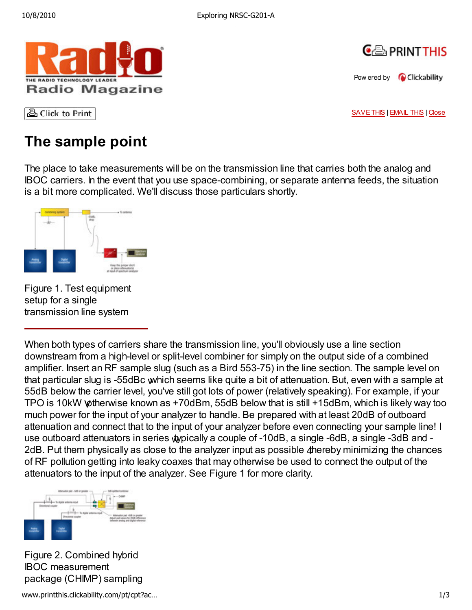



Pow ered by **Clickability** 

줍 Click to Print

SAVE THIS | EMAIL THIS | Close

## The sample point

The place to take measurements will be on the transmission line that carries both the analog and IBOC carriers. In the event that you use space-combining, or separate antenna feeds, the situation is a bit more complicated. We'll discuss those particulars shortly.



Figure 1. Test equipment setup for a single transmission line system

When both types of carriers share the transmission line, you'll obviously use a line section downstream from a high-level or split-level combiner for simply on the output side of a combined amplifier. Insert an RF sample slug (such as a Bird 553-75) in the line section. The sample level on that particular slug is -55dBc which seems like quite a bit of attenuation. But, even with a sample at 55dB below the carrier level, you've still got lots of power (relatively speaking). For example, if your TPO is 10kW wetherwise known as +70dBm, 55dB below that is still +15dBm, which is likely way too much power for the input of your analyzer to handle. Be prepared with at least 20dB of outboard attenuation and connect that to the input of your analyzer before even connecting your sample line! I use outboard attenuators in series w pically a couple of -10dB, a single -6dB, a single -3dB and -2dB. Put them physically as close to the analyzer input as possible 4 hereby minimizing the chances of RF pollution getting into leaky coaxes that may otherwise be used to connect the output of the attenuators to the input of the analyzer. See Figure 1 for more clarity.



Figure 2. Combined hybrid IBOC measurement package (CHIMP) sampling

www.printthis.clickability.com/pt/cpt?ac… 1/3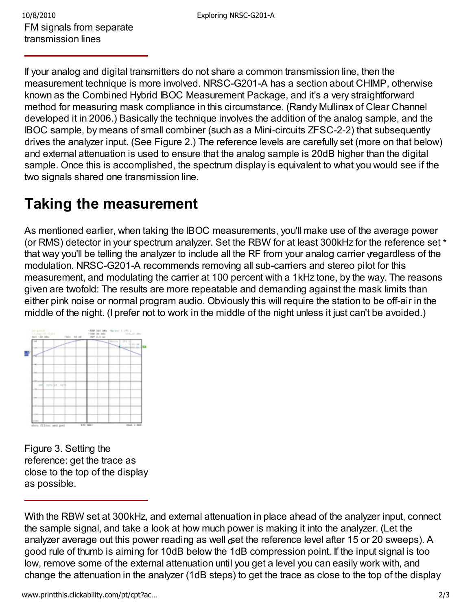If your analog and digital transmitters do not share a common transmission line, then the measurement technique is more involved. NRSC-G201-A has a section about CHIMP, otherwise known as the Combined Hybrid IBOC Measurement Package, and it's a very straightforward method for measuring mask compliance in this circumstance. (Randy Mullinax of Clear Channel developed it in 2006.) Basically the technique involves the addition of the analog sample, and the IBOC sample, by means of small combiner (such as a Mini-circuits ZFSC-2-2) that subsequently drives the analyzer input. (See Figure 2.) The reference levels are carefully set (more on that below) and external attenuation is used to ensure that the analog sample is 20dB higher than the digital sample. Once this is accomplished, the spectrum display is equivalent to what you would see if the two signals shared one transmission line.

## Taking the measurement

As mentioned earlier, when taking the IBOC measurements, you'll make use of the average power (or RMS) detector in your spectrum analyzer. Set the RBW for at least 300kHz for the reference set \* that way you'll be telling the analyzer to include all the RF from your analog carrier y regardless of the modulation. NRSC-G201-A recommends removing all sub-carriers and stereo pilot for this measurement, and modulating the carrier at 100 percent with a 1kHz tone, by the way. The reasons given are twofold: The results are more repeatable and demanding against the mask limits than either pink noise or normal program audio. Obviously this will require the station to be off-air in the middle of the night. (I prefer not to work in the middle of the night unless it just can't be avoided.)



Figure 3. Setting the reference: get the trace as close to the top of the display as possible.

With the RBW set at 300kHz, and external attenuation in place ahead of the analyzer input, connect the sample signal, and take a look at how much power is making it into the analyzer. (Let the analyzer average out this power reading as well set the reference level after 15 or 20 sweeps). A good rule of thumb is aiming for 10dB below the 1dB compression point. If the input signal is too low, remove some of the external attenuation until you get a level you can easily work with, and change the attenuation in the analyzer (1dB steps) to get the trace as close to the top of the display

www.printthis.clickability.com/pt/cpt?ac… 2/3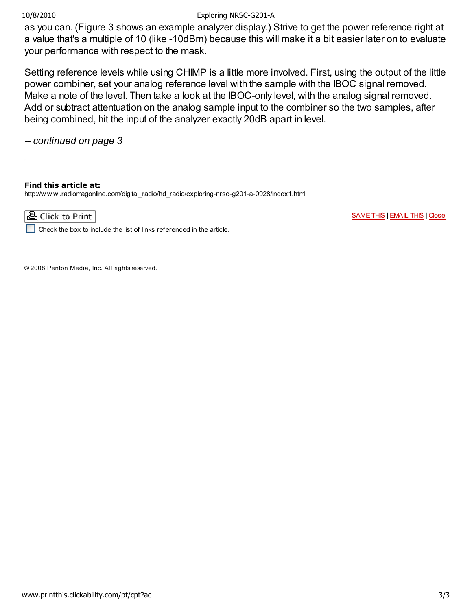### 10/8/2010 Exploring NRSC-G201-A

as you can. (Figure 3 shows an example analyzer display.) Strive to get the power reference right at a value that's a multiple of 10 (like -10dBm) because this will make it a bit easier later on to evaluate your performance with respect to the mask.

Setting reference levels while using CHIMP is a little more involved. First, using the output of the little power combiner, set your analog reference level with the sample with the IBOC signal removed. Make a note of the level. Then take a look at the IBOC-only level, with the analog signal removed. Add or subtract attentuation on the analog sample input to the combiner so the two samples, after being combined, hit the input of the analyzer exactly 20dB apart in level.

-- continued on page 3

### Find this article at:

http://w w w .radiomagonline.com/digital\_radio/hd\_radio/exploring-nrsc-g201-a-0928/index1.html



SAVE THIS | EMAIL THIS | Close

Check the box to include the list of links referenced in the article.

© 2008 Penton Media, Inc. All rights reserved.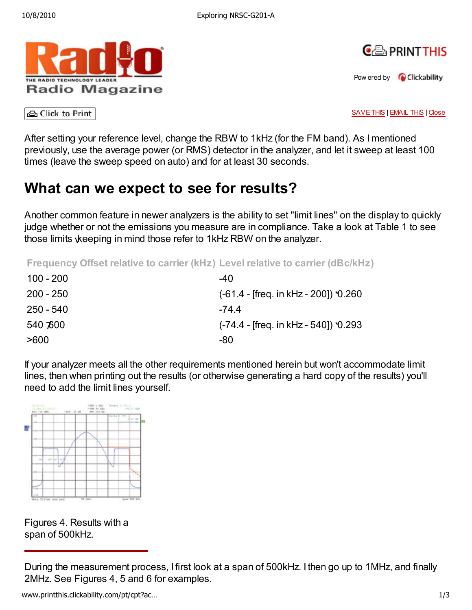



Pow ered by **Clickability** 

**△** Click to Print

SAVE THIS | EMAIL THIS | Close

After setting your reference level, change the RBW to 1kHz (for the FM band). As I mentioned previously, use the average power (or RMS) detector in the analyzer, and let it sweep at least 100 times (leave the sweep speed on auto) and for at least 30 seconds.

## What can we expect to see for results?

Another common feature in newer analyzers is the ability to set "limit lines" on the display to quickly judge whether or not the emissions you measure are in compliance. Take a look at Table 1 to see those limits v keeping in mind those refer to 1kHz RBW on the analyzer.

Frequency Offset relative to carrier (kHz) Level relative to carrier (dBc/kHz)

| $100 - 200$ | $-40$                                 |
|-------------|---------------------------------------|
| $200 - 250$ | (-61.4 - [freq. in kHz - 200]) *0.260 |
| $250 - 540$ | -744                                  |
| 540 7600    | (-74.4 - [freq. in kHz - 540]) *0.293 |
| >600        | -80                                   |

If your analyzer meets all the other requirements mentioned herein but won't accommodate limit lines, then when printing out the results (or otherwise generating a hard copy of the results) you'll need to add the limit lines yourself.



Figures 4. Results with a span of 500kHz.

During the measurement process, I first look at a span of 500kHz. I then go up to 1MHz, and finally 2MHz. See Figures 4, 5 and 6 for examples.

www.printthis.clickability.com/pt/cpt?ac… 1/3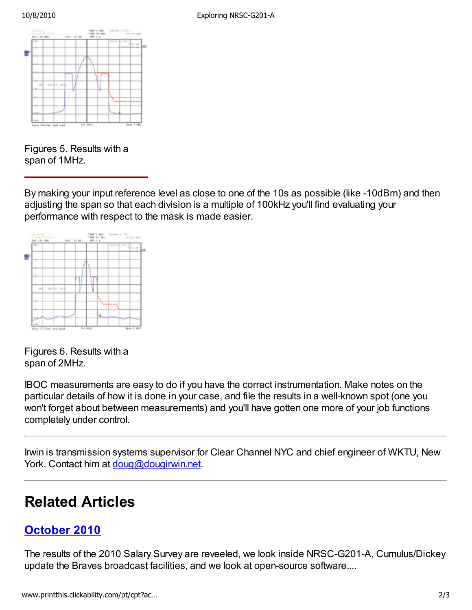

Figures 5. Results with a span of 1MHz.

By making your input reference level as close to one of the 10s as possible (like -10dBm) and then adjusting the span so that each division is a multiple of 100kHz you'll find evaluating your performance with respect to the mask is made easier.



Figures 6. Results with a span of 2MHz.

IBOC measurements are easy to do if you have the correct instrumentation. Make notes on the particular details of how it is done in your case, and file the results in a well-known spot (one you won't forget about between measurements) and you'll have gotten one more of your job functions completely under control.

Irwin is transmission systems supervisor for Clear Channel NYC and chief engineer of WKTU, New York. Contact him at doug@dougirwin.net.

## Related Articles

## October 2010

The results of the 2010 Salary Survey are reveeled, we look inside NRSC-G201-A, Cumulus/Dickey update the Braves broadcast facilities, and we look at open-source software....